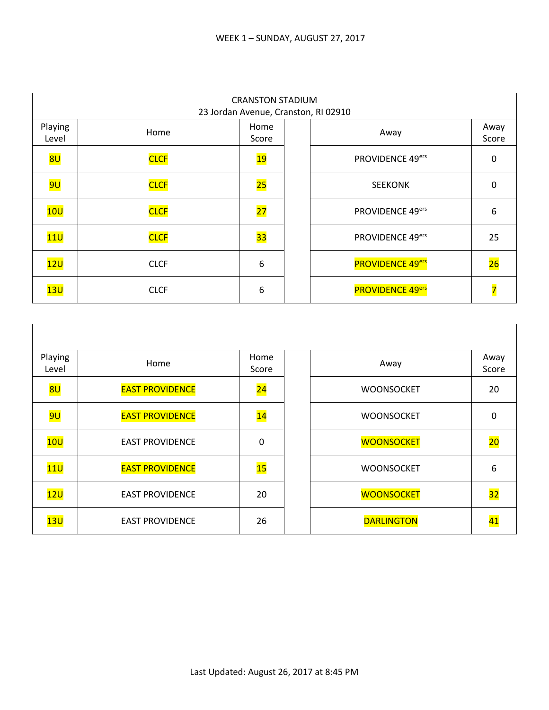|                  | <b>CRANSTON STADIUM</b><br>23 Jordan Avenue, Cranston, RI 02910 |                 |  |                         |               |  |  |
|------------------|-----------------------------------------------------------------|-----------------|--|-------------------------|---------------|--|--|
| Playing<br>Level | Home                                                            | Home<br>Score   |  | Away                    | Away<br>Score |  |  |
| 8U               | <b>CLCF</b>                                                     | 19              |  | PROVIDENCE 49ers        | 0             |  |  |
| <mark>9U</mark>  | <b>CLCF</b>                                                     | 25              |  | <b>SEEKONK</b>          | 0             |  |  |
| 10U              | <b>CLCF</b>                                                     | $\overline{27}$ |  | PROVIDENCE 49ers        | 6             |  |  |
| 11 <sub>U</sub>  | <b>CLCF</b>                                                     | 33              |  | PROVIDENCE 49ers        | 25            |  |  |
| 12U              | <b>CLCF</b>                                                     | 6               |  | <b>PROVIDENCE 49ers</b> | 26            |  |  |
| 13U              | <b>CLCF</b>                                                     | 6               |  | <b>PROVIDENCE 49ers</b> |               |  |  |

| Playing<br>Level | Home                   | Home<br>Score   | Away              | Away<br>Score |
|------------------|------------------------|-----------------|-------------------|---------------|
| 8U               | <b>EAST PROVIDENCE</b> | $\overline{24}$ | <b>WOONSOCKET</b> | 20            |
| <mark>9U</mark>  | <b>EAST PROVIDENCE</b> | $\overline{14}$ | <b>WOONSOCKET</b> | 0             |
| 10U              | <b>EAST PROVIDENCE</b> | $\mathbf 0$     | <b>WOONSOCKET</b> | 20            |
| 11 <sub>U</sub>  | <b>EAST PROVIDENCE</b> | 15              | <b>WOONSOCKET</b> | 6             |
| 12U              | <b>EAST PROVIDENCE</b> | 20              | <b>WOONSOCKET</b> | 32            |
| 13U              | <b>EAST PROVIDENCE</b> | 26              | <b>DARLINGTON</b> | 41            |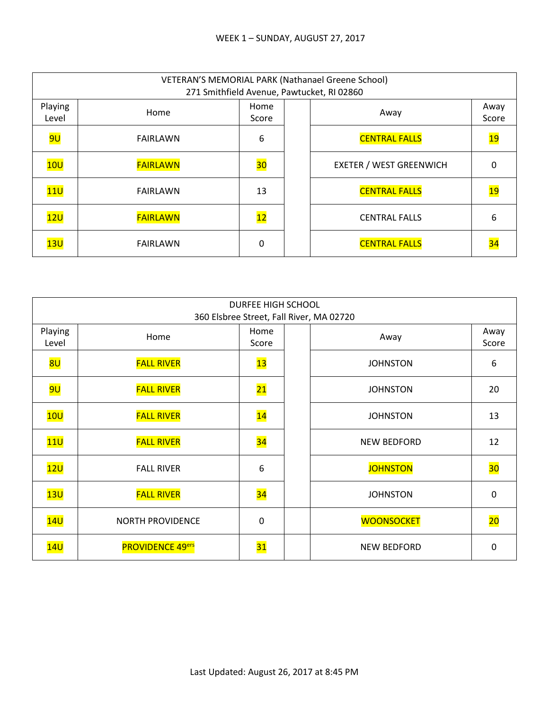|                  | VETERAN'S MEMORIAL PARK (Nathanael Greene School)<br>271 Smithfield Avenue, Pawtucket, RI 02860 |               |  |                                |               |  |  |
|------------------|-------------------------------------------------------------------------------------------------|---------------|--|--------------------------------|---------------|--|--|
| Playing<br>Level | Home                                                                                            | Home<br>Score |  | Away                           | Away<br>Score |  |  |
| <mark>9U</mark>  | <b>FAIRLAWN</b>                                                                                 | 6             |  | <b>CENTRAL FALLS</b>           | <u> 19</u>    |  |  |
| 10U              | <b>FAIRLAWN</b>                                                                                 | 30            |  | <b>EXETER / WEST GREENWICH</b> | 0             |  |  |
| 11U              | FAIRLAWN                                                                                        | 13            |  | <b>CENTRAL FALLS</b>           | <u> 19</u>    |  |  |
| 12U              | <b>FAIRLAWN</b>                                                                                 | 12            |  | <b>CENTRAL FALLS</b>           | 6             |  |  |
| 13U              | <b>FAIRLAWN</b>                                                                                 | 0             |  | <b>CENTRAL FALLS</b>           |               |  |  |

|                  | <b>DURFEE HIGH SCHOOL</b><br>360 Elsbree Street, Fall River, MA 02720 |                          |  |                    |                 |  |  |
|------------------|-----------------------------------------------------------------------|--------------------------|--|--------------------|-----------------|--|--|
| Playing<br>Level | Home                                                                  | Home<br>Score            |  | Away               | Away<br>Score   |  |  |
| <mark>8U</mark>  | <b>FALL RIVER</b>                                                     | $\overline{\mathbf{13}}$ |  | <b>JOHNSTON</b>    | 6               |  |  |
| <mark>9U</mark>  | <b>FALL RIVER</b>                                                     | $\overline{21}$          |  | <b>JOHNSTON</b>    | 20              |  |  |
| 10U              | <b>FALL RIVER</b>                                                     | $\overline{14}$          |  | <b>JOHNSTON</b>    | 13              |  |  |
| 11U              | <b>FALL RIVER</b>                                                     | 34                       |  | <b>NEW BEDFORD</b> | 12              |  |  |
| 12U              | <b>FALL RIVER</b>                                                     | 6                        |  | <b>JOHNSTON</b>    | 30 <sub>o</sub> |  |  |
| 13U              | <b>FALL RIVER</b>                                                     | 34                       |  | <b>JOHNSTON</b>    | 0               |  |  |
| 14U              | <b>NORTH PROVIDENCE</b>                                               | $\mathbf 0$              |  | <b>WOONSOCKET</b>  | 20              |  |  |
| 14U              | <b>PROVIDENCE 49ers</b>                                               | 31                       |  | <b>NEW BEDFORD</b> | 0               |  |  |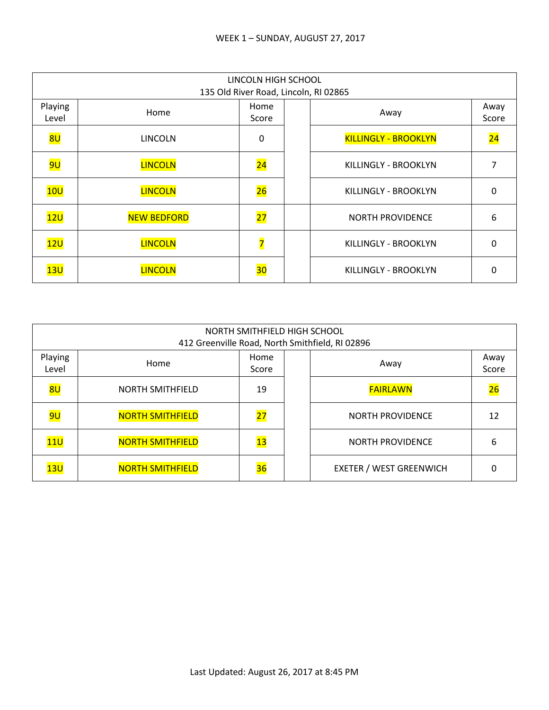|                  | LINCOLN HIGH SCHOOL<br>135 Old River Road, Lincoln, RI 02865 |                         |  |                             |                 |  |  |
|------------------|--------------------------------------------------------------|-------------------------|--|-----------------------------|-----------------|--|--|
| Playing<br>Level | Home                                                         | Home<br>Score           |  | Away                        | Away<br>Score   |  |  |
| 8U               | <b>LINCOLN</b>                                               | 0                       |  | <b>KILLINGLY - BROOKLYN</b> | $\overline{24}$ |  |  |
| <mark>9U</mark>  | <b>LINCOLN</b>                                               | $\overline{24}$         |  | KILLINGLY - BROOKLYN        | 7               |  |  |
| 10U              | <b>LINCOLN</b>                                               | 26                      |  | KILLINGLY - BROOKLYN        | 0               |  |  |
| 12U              | <b>NEW BEDFORD</b>                                           | $\overline{27}$         |  | <b>NORTH PROVIDENCE</b>     | 6               |  |  |
| 12U              | <b>LINCOLN</b>                                               | $\overline{\mathbf{z}}$ |  | KILLINGLY - BROOKLYN        | 0               |  |  |
| 13U              | <b>LINCOLN</b>                                               | 30                      |  | KILLINGLY - BROOKLYN        | O               |  |  |

|                  | NORTH SMITHFIELD HIGH SCHOOL<br>412 Greenville Road, North Smithfield, RI 02896 |               |  |                                |               |  |  |
|------------------|---------------------------------------------------------------------------------|---------------|--|--------------------------------|---------------|--|--|
| Playing<br>Level | Home                                                                            | Home<br>Score |  | Away                           | Away<br>Score |  |  |
| 8 <sub>U</sub>   | <b>NORTH SMITHFIELD</b>                                                         | 19            |  | <b>FAIRLAWN</b>                | 26            |  |  |
| <mark>9U</mark>  | <b>NORTH SMITHFIELD</b>                                                         | 27            |  | <b>NORTH PROVIDENCE</b>        | 12            |  |  |
| 11 <sub>U</sub>  | <b>NORTH SMITHFIELD</b>                                                         | 13            |  | <b>NORTH PROVIDENCE</b>        | 6             |  |  |
| 13U              | <b>NORTH SMITHFIELD</b>                                                         | 36            |  | <b>EXETER / WEST GREENWICH</b> | ი             |  |  |